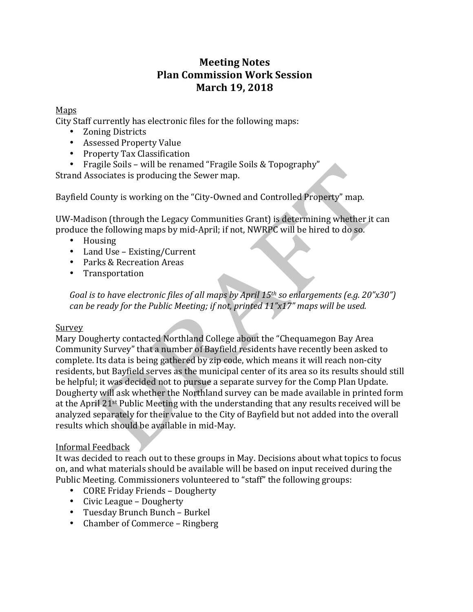# **Meeting Notes Plan Commission Work Session March 19, 2018**

## Maps

City Staff currently has electronic files for the following maps:

- Zoning Districts
- Assessed Property Value
- Property Tax Classification
- Fragile Soils will be renamed "Fragile Soils & Topography"

Strand Associates is producing the Sewer map.

Bayfield County is working on the "City-Owned and Controlled Property" map.

UW-Madison (through the Legacy Communities Grant) is determining whether it can produce the following maps by mid-April; if not, NWRPC will be hired to do so.

- Housing
- Land Use Existing/Current
- Parks & Recreation Areas
- Transportation

*Goal* is to have electronic files of all maps by April 15<sup>th</sup> so enlargements (e.g. 20"x30") *can be ready for the Public Meeting; if not, printed 11"x17" maps will be used.* 

## **Survey**

Mary Dougherty contacted Northland College about the "Chequamegon Bay Area Community Survey" that a number of Bayfield residents have recently been asked to complete. Its data is being gathered by zip code, which means it will reach non-city residents, but Bayfield serves as the municipal center of its area so its results should still be helpful; it was decided not to pursue a separate survey for the Comp Plan Update. Dougherty will ask whether the Northland survey can be made available in printed form at the April 21<sup>st</sup> Public Meeting with the understanding that any results received will be analyzed separately for their value to the City of Bayfield but not added into the overall results which should be available in mid-May.

## Informal Feedback

It was decided to reach out to these groups in May. Decisions about what topics to focus on, and what materials should be available will be based on input received during the Public Meeting. Commissioners volunteered to "staff" the following groups:

- CORE Friday Friends Dougherty
- Civic League Dougherty
- Tuesday Brunch Bunch Burkel
- Chamber of Commerce Ringberg